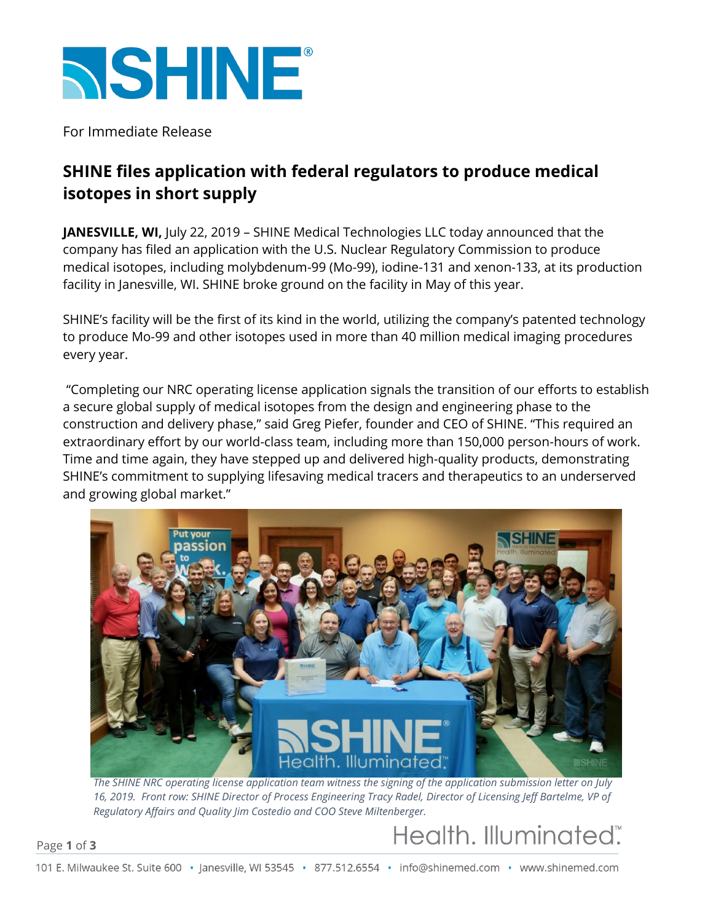

For Immediate Release

### **SHINE files application with federal regulators to produce medical isotopes in short supply**

**JANESVILLE, WI,** July 22, 2019 – SHINE Medical Technologies LLC today announced that the company has filed an application with the U.S. Nuclear Regulatory Commission to produce medical isotopes, including molybdenum-99 (Mo-99), iodine-131 and xenon-133, at its production facility in Janesville, WI. SHINE broke ground on the facility in May of this year.

SHINE's facility will be the first of its kind in the world, utilizing the company's patented technology to produce Mo-99 and other isotopes used in more than 40 million medical imaging procedures every year.

"Completing our NRC operating license application signals the transition of our efforts to establish a secure global supply of medical isotopes from the design and engineering phase to the construction and delivery phase," said Greg Piefer, founder and CEO of SHINE. "This required an extraordinary effort by our world-class team, including more than 150,000 person-hours of work. Time and time again, they have stepped up and delivered high-quality products, demonstrating SHINE's commitment to supplying lifesaving medical tracers and therapeutics to an underserved and growing global market."



*The SHINE NRC operating license application team witness the signing of the application submission letter on July 16, 2019. Front row: SHINE Director of Process Engineering Tracy Radel, Director of Licensing Jeff Bartelme, VP of Regulatory Affairs and Quality Jim Costedio and COO Steve Miltenberger.*

Health. Illuminated".

#### Page **1** of **3**

101 E. Milwaukee St. Suite 600 · Janesville, WI 53545 · 877.512.6554 · info@shinemed.com · www.shinemed.com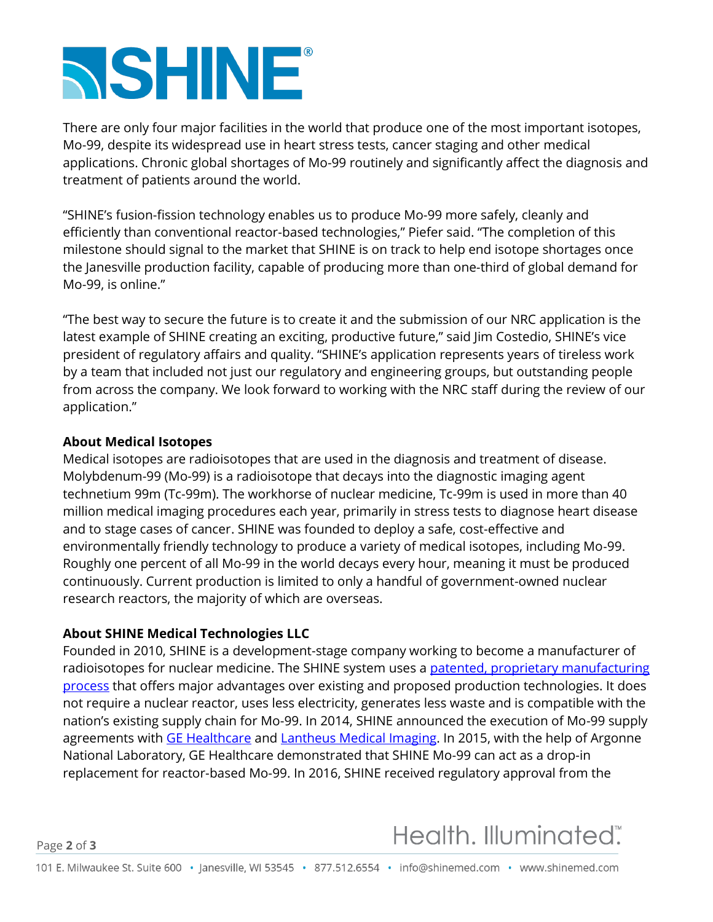# **NSHINE®**

There are only four major facilities in the world that produce one of the most important isotopes, Mo-99, despite its widespread use in heart stress tests, cancer staging and other medical applications. Chronic global shortages of Mo-99 routinely and significantly affect the diagnosis and treatment of patients around the world.

"SHINE's fusion-fission technology enables us to produce Mo-99 more safely, cleanly and efficiently than conventional reactor-based technologies," Piefer said. "The completion of this milestone should signal to the market that SHINE is on track to help end isotope shortages once the Janesville production facility, capable of producing more than one-third of global demand for Mo-99, is online."

"The best way to secure the future is to create it and the submission of our NRC application is the latest example of SHINE creating an exciting, productive future," said Jim Costedio, SHINE's vice president of regulatory affairs and quality. "SHINE's application represents years of tireless work by a team that included not just our regulatory and engineering groups, but outstanding people from across the company. We look forward to working with the NRC staff during the review of our application."

#### **About Medical Isotopes**

Medical isotopes are radioisotopes that are used in the diagnosis and treatment of disease. Molybdenum-99 (Mo-99) is a radioisotope that decays into the diagnostic imaging agent technetium 99m (Tc-99m). The workhorse of nuclear medicine, Tc-99m is used in more than 40 million medical imaging procedures each year, primarily in stress tests to diagnose heart disease and to stage cases of cancer. SHINE was founded to deploy a safe, cost-effective and environmentally friendly technology to produce a variety of medical isotopes, including Mo-99. Roughly one percent of all Mo-99 in the world decays every hour, meaning it must be produced continuously. Current production is limited to only a handful of government-owned nuclear research reactors, the majority of which are overseas.

#### **About SHINE Medical Technologies LLC**

Founded in 2010, SHINE is a development-stage company working to become a manufacturer of radioisotopes for nuclear medicine. The SHINE system uses a [patented, proprietary manufacturing](https://shinemed.com/demonstrated-technology/)  [process](https://shinemed.com/demonstrated-technology/) that offers major advantages over existing and proposed production technologies. It does not require a nuclear reactor, uses less electricity, generates less waste and is compatible with the nation's existing supply chain for Mo-99. In 2014, SHINE announced the execution of Mo-99 supply agreements with [GE Healthcare](https://shinemed.com/shine-medical-technologies-to-supply-moly%E2%80%9099-to-ge-healthcare/) and [Lantheus Medical Imaging.](https://shinemed.com/shine-signs-second-mo-99-supply-agreement/) In 2015, with the help of Argonne National Laboratory, GE Healthcare demonstrated that SHINE Mo-99 can act as a drop-in replacement for reactor-based Mo-99. In 2016, SHINE received regulatory approval from the

## Health. Illuminated".